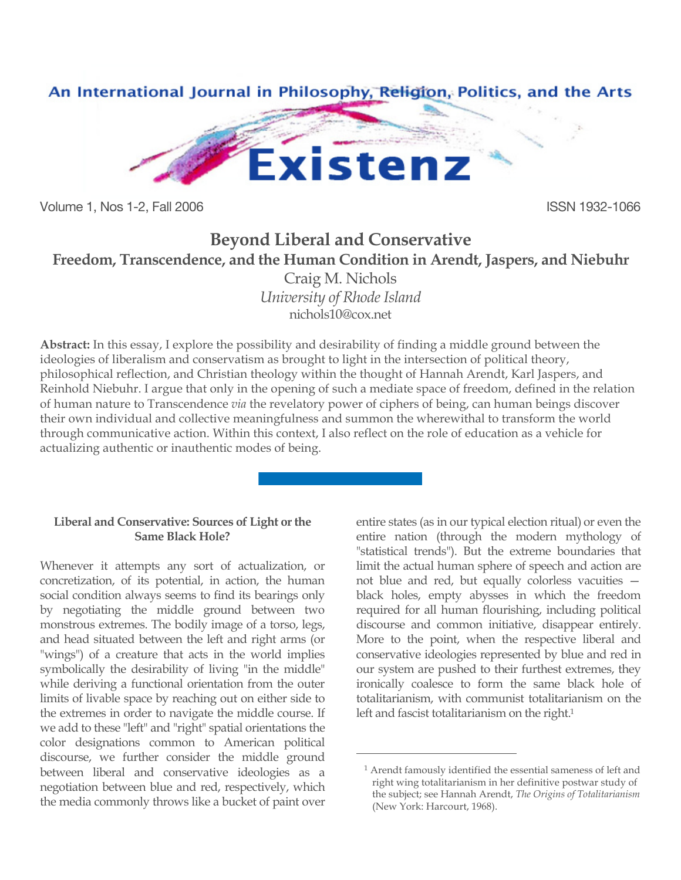

Volume 1, Nos 1-2, Fall 2006 ISSN 1932-1066

# **Beyond Liberal and Conservative Freedom, Transcendence, and the Human Condition in Arendt, Jaspers, and Niebuhr**

Craig M. Nichols *University of Rhode Island* nichols10@cox.net

**Abstract:** In this essay, I explore the possibility and desirability of finding a middle ground between the ideologies of liberalism and conservatism as brought to light in the intersection of political theory, philosophical reflection, and Christian theology within the thought of Hannah Arendt, Karl Jaspers, and Reinhold Niebuhr. I argue that only in the opening of such a mediate space of freedom, defined in the relation of human nature to Transcendence *via* the revelatory power of ciphers of being, can human beings discover their own individual and collective meaningfulness and summon the wherewithal to transform the world through communicative action. Within this context, I also reflect on the role of education as a vehicle for actualizing authentic or inauthentic modes of being.

 $\overline{a}$ 

#### **Liberal and Conservative: Sources of Light or the Same Black Hole?**

Whenever it attempts any sort of actualization, or concretization, of its potential, in action, the human social condition always seems to find its bearings only by negotiating the middle ground between two monstrous extremes. The bodily image of a torso, legs, and head situated between the left and right arms (or "wings") of a creature that acts in the world implies symbolically the desirability of living "in the middle" while deriving a functional orientation from the outer limits of livable space by reaching out on either side to the extremes in order to navigate the middle course. If we add to these "left" and "right" spatial orientations the color designations common to American political discourse, we further consider the middle ground between liberal and conservative ideologies as a negotiation between blue and red, respectively, which the media commonly throws like a bucket of paint over entire states (as in our typical election ritual) or even the entire nation (through the modern mythology of "statistical trends"). But the extreme boundaries that limit the actual human sphere of speech and action are not blue and red, but equally colorless vacuities black holes, empty abysses in which the freedom required for all human flourishing, including political discourse and common initiative, disappear entirely. More to the point, when the respective liberal and conservative ideologies represented by blue and red in our system are pushed to their furthest extremes, they ironically coalesce to form the same black hole of totalitarianism, with communist totalitarianism on the left and fascist totalitarianism on the right.<sup>1</sup>

<sup>1</sup> Arendt famously identified the essential sameness of left and right wing totalitarianism in her definitive postwar study of the subject; see Hannah Arendt, *The Origins of Totalitarianism* (New York: Harcourt, 1968).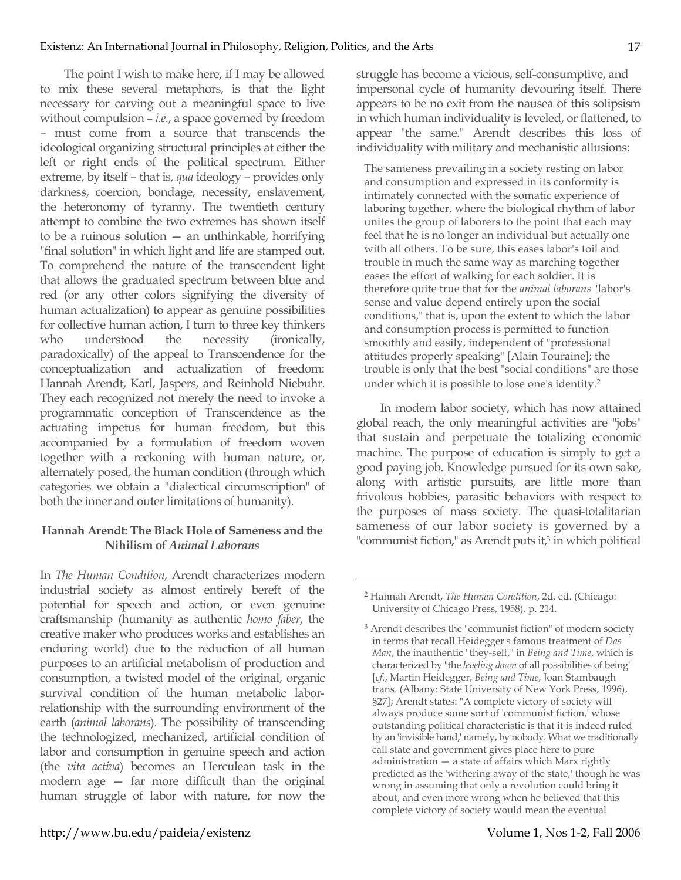The point I wish to make here, if I may be allowed to mix these several metaphors, is that the light necessary for carving out a meaningful space to live without compulsion – *i.e.*, a space governed by freedom – must come from a source that transcends the ideological organizing structural principles at either the left or right ends of the political spectrum. Either extreme, by itself – that is, *qua* ideology – provides only darkness, coercion, bondage, necessity, enslavement, the heteronomy of tyranny. The twentieth century attempt to combine the two extremes has shown itself to be a ruinous solution — an unthinkable, horrifying "final solution" in which light and life are stamped out. To comprehend the nature of the transcendent light that allows the graduated spectrum between blue and red (or any other colors signifying the diversity of human actualization) to appear as genuine possibilities for collective human action, I turn to three key thinkers who understood the necessity (ironically, paradoxically) of the appeal to Transcendence for the conceptualization and actualization of freedom: Hannah Arendt, Karl, Jaspers, and Reinhold Niebuhr. They each recognized not merely the need to invoke a programmatic conception of Transcendence as the actuating impetus for human freedom, but this accompanied by a formulation of freedom woven together with a reckoning with human nature, or, alternately posed, the human condition (through which categories we obtain a "dialectical circumscription" of both the inner and outer limitations of humanity).

## **Hannah Arendt: The Black Hole of Sameness and the Nihilism of** *Animal Laborans*

In *The Human Condition*, Arendt characterizes modern industrial society as almost entirely bereft of the potential for speech and action, or even genuine craftsmanship (humanity as authentic *homo faber*, the creative maker who produces works and establishes an enduring world) due to the reduction of all human purposes to an artificial metabolism of production and consumption, a twisted model of the original, organic survival condition of the human metabolic laborrelationship with the surrounding environment of the earth (*animal laborans*). The possibility of transcending the technologized, mechanized, artificial condition of labor and consumption in genuine speech and action (the *vita activa*) becomes an Herculean task in the modern age — far more difficult than the original human struggle of labor with nature, for now the struggle has become a vicious, self-consumptive, and impersonal cycle of humanity devouring itself. There appears to be no exit from the nausea of this solipsism in which human individuality is leveled, or flattened, to appear "the same." Arendt describes this loss of individuality with military and mechanistic allusions:

The sameness prevailing in a society resting on labor and consumption and expressed in its conformity is intimately connected with the somatic experience of laboring together, where the biological rhythm of labor unites the group of laborers to the point that each may feel that he is no longer an individual but actually one with all others. To be sure, this eases labor's toil and trouble in much the same way as marching together eases the effort of walking for each soldier. It is therefore quite true that for the *animal laborans* "labor's sense and value depend entirely upon the social conditions," that is, upon the extent to which the labor and consumption process is permitted to function smoothly and easily, independent of "professional attitudes properly speaking" [Alain Touraine]; the trouble is only that the best "social conditions" are those under which it is possible to lose one's identity.2

In modern labor society, which has now attained global reach, the only meaningful activities are "jobs" that sustain and perpetuate the totalizing economic machine. The purpose of education is simply to get a good paying job. Knowledge pursued for its own sake, along with artistic pursuits, are little more than frivolous hobbies, parasitic behaviors with respect to the purposes of mass society. The quasi-totalitarian sameness of our labor society is governed by a "communist fiction," as Arendt puts it,3 in which political

<sup>2</sup> Hannah Arendt, *The Human Condition*, 2d. ed. (Chicago: University of Chicago Press, 1958), p. 214.

<sup>3</sup> Arendt describes the "communist fiction" of modern society in terms that recall Heidegger's famous treatment of *Das Man*, the inauthentic "they-self," in *Being and Time*, which is characterized by "the *leveling down* of all possibilities of being" [*cf.*, Martin Heidegger, *Being and Time*, Joan Stambaugh trans. (Albany: State University of New York Press, 1996), §27]; Arendt states: "A complete victory of society will always produce some sort of 'communist fiction,' whose outstanding political characteristic is that it is indeed ruled by an 'invisible hand,' namely, by nobody. What we traditionally call state and government gives place here to pure administration — a state of affairs which Marx rightly predicted as the 'withering away of the state,' though he was wrong in assuming that only a revolution could bring it about, and even more wrong when he believed that this complete victory of society would mean the eventual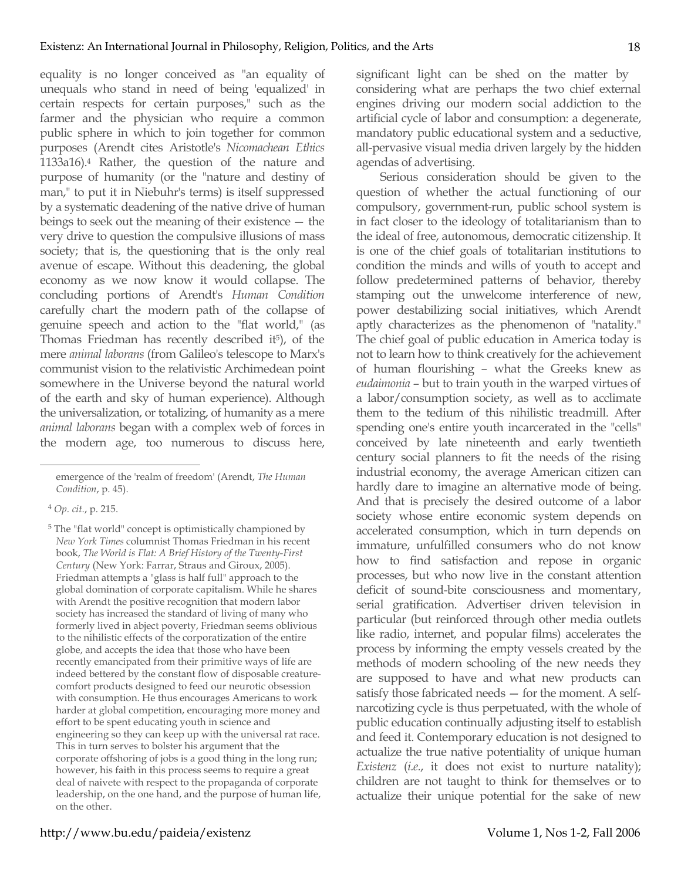equality is no longer conceived as "an equality of unequals who stand in need of being 'equalized' in certain respects for certain purposes," such as the farmer and the physician who require a common public sphere in which to join together for common purposes (Arendt cites Aristotle's *Nicomachean Ethics* 1133a16).4 Rather, the question of the nature and purpose of humanity (or the "nature and destiny of man," to put it in Niebuhr's terms) is itself suppressed by a systematic deadening of the native drive of human beings to seek out the meaning of their existence — the very drive to question the compulsive illusions of mass society; that is, the questioning that is the only real avenue of escape. Without this deadening, the global economy as we now know it would collapse. The concluding portions of Arendt's *Human Condition* carefully chart the modern path of the collapse of genuine speech and action to the "flat world," (as Thomas Friedman has recently described it<sup>5</sup>), of the mere *animal laborans* (from Galileo's telescope to Marx's communist vision to the relativistic Archimedean point somewhere in the Universe beyond the natural world of the earth and sky of human experience). Although the universalization, or totalizing, of humanity as a mere *animal laborans* began with a complex web of forces in the modern age, too numerous to discuss here,

 $\overline{a}$ 

5 The "flat world" concept is optimistically championed by *New York Times* columnist Thomas Friedman in his recent book, *The World is Flat: A Brief History of the Twenty-First Century* (New York: Farrar, Straus and Giroux, 2005). Friedman attempts a "glass is half full" approach to the global domination of corporate capitalism. While he shares with Arendt the positive recognition that modern labor society has increased the standard of living of many who formerly lived in abject poverty, Friedman seems oblivious to the nihilistic effects of the corporatization of the entire globe, and accepts the idea that those who have been recently emancipated from their primitive ways of life are indeed bettered by the constant flow of disposable creaturecomfort products designed to feed our neurotic obsession with consumption. He thus encourages Americans to work harder at global competition, encouraging more money and effort to be spent educating youth in science and engineering so they can keep up with the universal rat race. This in turn serves to bolster his argument that the corporate offshoring of jobs is a good thing in the long run; however, his faith in this process seems to require a great deal of naivete with respect to the propaganda of corporate leadership, on the one hand, and the purpose of human life, on the other.

significant light can be shed on the matter by considering what are perhaps the two chief external engines driving our modern social addiction to the artificial cycle of labor and consumption: a degenerate, mandatory public educational system and a seductive, all-pervasive visual media driven largely by the hidden agendas of advertising.

Serious consideration should be given to the question of whether the actual functioning of our compulsory, government-run, public school system is in fact closer to the ideology of totalitarianism than to the ideal of free, autonomous, democratic citizenship. It is one of the chief goals of totalitarian institutions to condition the minds and wills of youth to accept and follow predetermined patterns of behavior, thereby stamping out the unwelcome interference of new, power destabilizing social initiatives, which Arendt aptly characterizes as the phenomenon of "natality." The chief goal of public education in America today is not to learn how to think creatively for the achievement of human flourishing – what the Greeks knew as *eudaimonia* – but to train youth in the warped virtues of a labor/consumption society, as well as to acclimate them to the tedium of this nihilistic treadmill. After spending one's entire youth incarcerated in the "cells" conceived by late nineteenth and early twentieth century social planners to fit the needs of the rising industrial economy, the average American citizen can hardly dare to imagine an alternative mode of being. And that is precisely the desired outcome of a labor society whose entire economic system depends on accelerated consumption, which in turn depends on immature, unfulfilled consumers who do not know how to find satisfaction and repose in organic processes, but who now live in the constant attention deficit of sound-bite consciousness and momentary, serial gratification. Advertiser driven television in particular (but reinforced through other media outlets like radio, internet, and popular films) accelerates the process by informing the empty vessels created by the methods of modern schooling of the new needs they are supposed to have and what new products can satisfy those fabricated needs — for the moment. A selfnarcotizing cycle is thus perpetuated, with the whole of public education continually adjusting itself to establish and feed it. Contemporary education is not designed to actualize the true native potentiality of unique human *Existenz* (*i.e.*, it does not exist to nurture natality); children are not taught to think for themselves or to actualize their unique potential for the sake of new

emergence of the 'realm of freedom' (Arendt, *The Human Condition*, p. 45).

<sup>4</sup> *Op. cit.*, p. 215.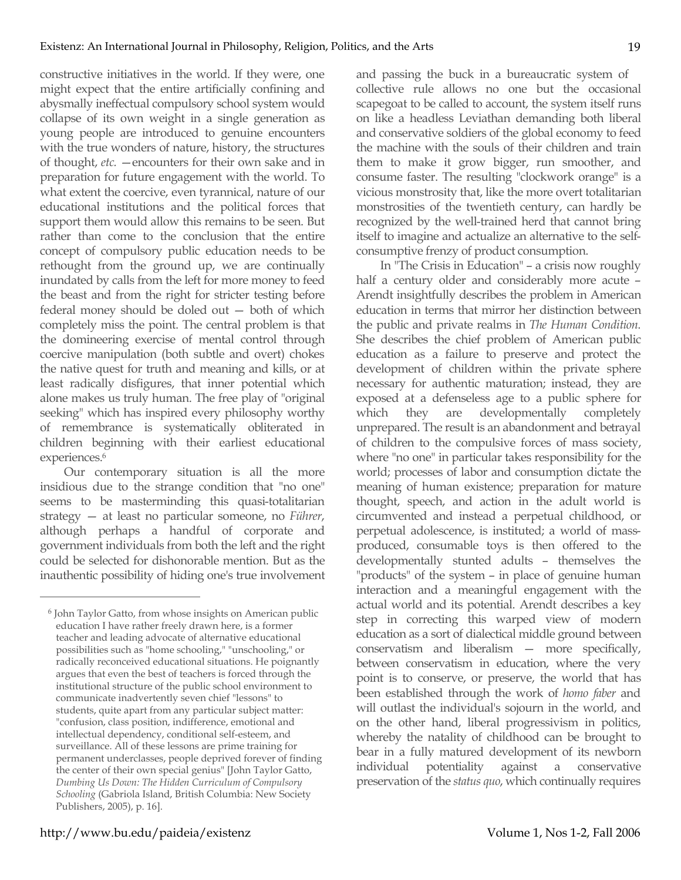constructive initiatives in the world. If they were, one might expect that the entire artificially confining and abysmally ineffectual compulsory school system would collapse of its own weight in a single generation as young people are introduced to genuine encounters with the true wonders of nature, history, the structures of thought, *etc.* —encounters for their own sake and in preparation for future engagement with the world. To what extent the coercive, even tyrannical, nature of our educational institutions and the political forces that support them would allow this remains to be seen. But rather than come to the conclusion that the entire concept of compulsory public education needs to be rethought from the ground up, we are continually inundated by calls from the left for more money to feed the beast and from the right for stricter testing before federal money should be doled out — both of which completely miss the point. The central problem is that the domineering exercise of mental control through coercive manipulation (both subtle and overt) chokes the native quest for truth and meaning and kills, or at least radically disfigures, that inner potential which alone makes us truly human. The free play of "original seeking" which has inspired every philosophy worthy of remembrance is systematically obliterated in children beginning with their earliest educational experiences.<sup>6</sup>

Our contemporary situation is all the more insidious due to the strange condition that "no one" seems to be masterminding this quasi-totalitarian strategy — at least no particular someone, no *Führer*, although perhaps a handful of corporate and government individuals from both the left and the right could be selected for dishonorable mention. But as the inauthentic possibility of hiding one's true involvement and passing the buck in a bureaucratic system of collective rule allows no one but the occasional scapegoat to be called to account, the system itself runs on like a headless Leviathan demanding both liberal and conservative soldiers of the global economy to feed the machine with the souls of their children and train them to make it grow bigger, run smoother, and consume faster. The resulting "clockwork orange" is a vicious monstrosity that, like the more overt totalitarian monstrosities of the twentieth century, can hardly be recognized by the well-trained herd that cannot bring itself to imagine and actualize an alternative to the selfconsumptive frenzy of product consumption.

In "The Crisis in Education" – a crisis now roughly half a century older and considerably more acute – Arendt insightfully describes the problem in American education in terms that mirror her distinction between the public and private realms in *The Human Condition*. She describes the chief problem of American public education as a failure to preserve and protect the development of children within the private sphere necessary for authentic maturation; instead, they are exposed at a defenseless age to a public sphere for which they are developmentally completely unprepared. The result is an abandonment and betrayal of children to the compulsive forces of mass society, where "no one" in particular takes responsibility for the world; processes of labor and consumption dictate the meaning of human existence; preparation for mature thought, speech, and action in the adult world is circumvented and instead a perpetual childhood, or perpetual adolescence, is instituted; a world of massproduced, consumable toys is then offered to the developmentally stunted adults – themselves the "products" of the system – in place of genuine human interaction and a meaningful engagement with the actual world and its potential. Arendt describes a key step in correcting this warped view of modern education as a sort of dialectical middle ground between conservatism and liberalism — more specifically, between conservatism in education, where the very point is to conserve, or preserve, the world that has been established through the work of *homo faber* and will outlast the individual's sojourn in the world, and on the other hand, liberal progressivism in politics, whereby the natality of childhood can be brought to bear in a fully matured development of its newborn individual potentiality against a conservative preservation of the *status quo*, which continually requires

<sup>6</sup> John Taylor Gatto, from whose insights on American public education I have rather freely drawn here, is a former teacher and leading advocate of alternative educational possibilities such as "home schooling," "unschooling," or radically reconceived educational situations. He poignantly argues that even the best of teachers is forced through the institutional structure of the public school environment to communicate inadvertently seven chief "lessons" to students, quite apart from any particular subject matter: "confusion, class position, indifference, emotional and intellectual dependency, conditional self-esteem, and surveillance. All of these lessons are prime training for permanent underclasses, people deprived forever of finding the center of their own special genius" [John Taylor Gatto, *Dumbing Us Down: The Hidden Curriculum of Compulsory Schooling* (Gabriola Island, British Columbia: New Society Publishers, 2005), p. 16].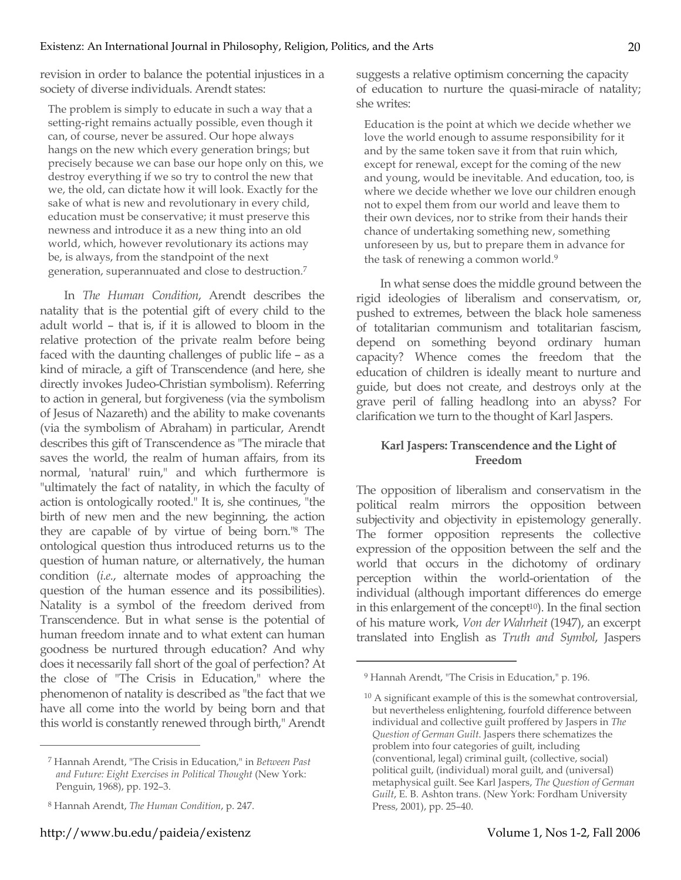revision in order to balance the potential injustices in a society of diverse individuals. Arendt states:

The problem is simply to educate in such a way that a setting-right remains actually possible, even though it can, of course, never be assured. Our hope always hangs on the new which every generation brings; but precisely because we can base our hope only on this, we destroy everything if we so try to control the new that we, the old, can dictate how it will look. Exactly for the sake of what is new and revolutionary in every child, education must be conservative; it must preserve this newness and introduce it as a new thing into an old world, which, however revolutionary its actions may be, is always, from the standpoint of the next generation, superannuated and close to destruction.7

In *The Human Condition*, Arendt describes the natality that is the potential gift of every child to the adult world – that is, if it is allowed to bloom in the relative protection of the private realm before being faced with the daunting challenges of public life – as a kind of miracle, a gift of Transcendence (and here, she directly invokes Judeo-Christian symbolism). Referring to action in general, but forgiveness (via the symbolism of Jesus of Nazareth) and the ability to make covenants (via the symbolism of Abraham) in particular, Arendt describes this gift of Transcendence as "The miracle that saves the world, the realm of human affairs, from its normal, 'natural' ruin," and which furthermore is "ultimately the fact of natality, in which the faculty of action is ontologically rooted." It is, she continues, "the birth of new men and the new beginning, the action they are capable of by virtue of being born."8 The ontological question thus introduced returns us to the question of human nature, or alternatively, the human condition (*i.e.*, alternate modes of approaching the question of the human essence and its possibilities). Natality is a symbol of the freedom derived from Transcendence. But in what sense is the potential of human freedom innate and to what extent can human goodness be nurtured through education? And why does it necessarily fall short of the goal of perfection? At the close of "The Crisis in Education," where the phenomenon of natality is described as "the fact that we have all come into the world by being born and that this world is constantly renewed through birth," Arendt

 $\overline{a}$ 

suggests a relative optimism concerning the capacity of education to nurture the quasi-miracle of natality; she writes:

Education is the point at which we decide whether we love the world enough to assume responsibility for it and by the same token save it from that ruin which, except for renewal, except for the coming of the new and young, would be inevitable. And education, too, is where we decide whether we love our children enough not to expel them from our world and leave them to their own devices, nor to strike from their hands their chance of undertaking something new, something unforeseen by us, but to prepare them in advance for the task of renewing a common world.<sup>9</sup>

In what sense does the middle ground between the rigid ideologies of liberalism and conservatism, or, pushed to extremes, between the black hole sameness of totalitarian communism and totalitarian fascism, depend on something beyond ordinary human capacity? Whence comes the freedom that the education of children is ideally meant to nurture and guide, but does not create, and destroys only at the grave peril of falling headlong into an abyss? For clarification we turn to the thought of Karl Jaspers.

#### **Karl Jaspers: Transcendence and the Light of Freedom**

The opposition of liberalism and conservatism in the political realm mirrors the opposition between subjectivity and objectivity in epistemology generally. The former opposition represents the collective expression of the opposition between the self and the world that occurs in the dichotomy of ordinary perception within the world-orientation of the individual (although important differences do emerge in this enlargement of the concept $10$ ). In the final section of his mature work, *Von der Wahrheit* (1947), an excerpt translated into English as *Truth and Symbol*, Jaspers

<sup>7</sup> Hannah Arendt, "The Crisis in Education," in *Between Past and Future: Eight Exercises in Political Thought* (New York: Penguin, 1968), pp. 192–3.

<sup>8</sup> Hannah Arendt, *The Human Condition*, p. 247.

<sup>9</sup> Hannah Arendt, "The Crisis in Education," p. 196.

<sup>&</sup>lt;sup>10</sup> A significant example of this is the somewhat controversial, but nevertheless enlightening, fourfold difference between individual and collective guilt proffered by Jaspers in *The Question of German Guilt*. Jaspers there schematizes the problem into four categories of guilt, including (conventional, legal) criminal guilt, (collective, social) political guilt, (individual) moral guilt, and (universal) metaphysical guilt. See Karl Jaspers, *The Question of German Guilt*, E. B. Ashton trans. (New York: Fordham University Press, 2001), pp. 25–40.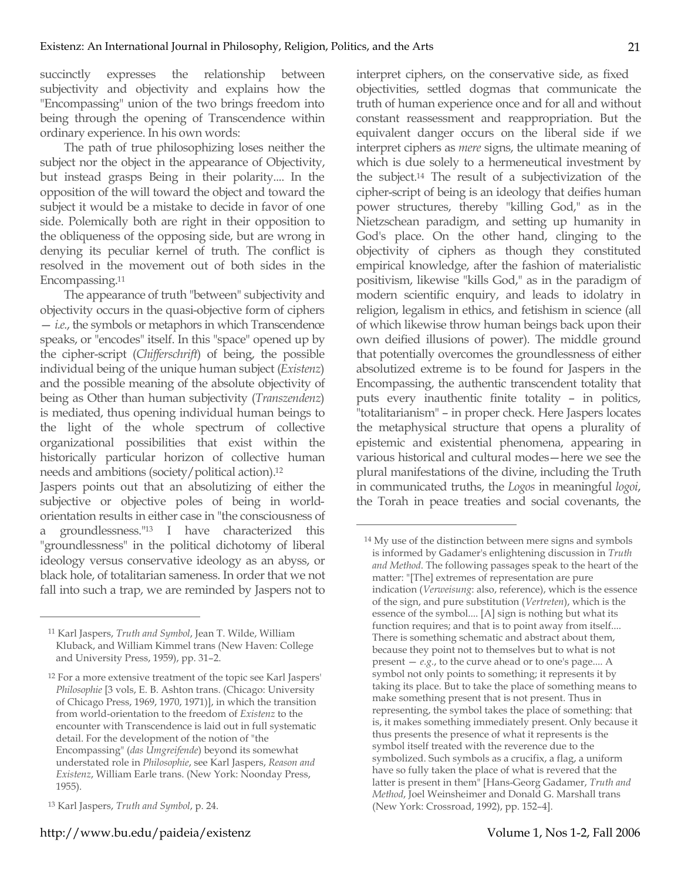succinctly expresses the relationship between subjectivity and objectivity and explains how the "Encompassing" union of the two brings freedom into being through the opening of Transcendence within ordinary experience. In his own words:

The path of true philosophizing loses neither the subject nor the object in the appearance of Objectivity, but instead grasps Being in their polarity.... In the opposition of the will toward the object and toward the subject it would be a mistake to decide in favor of one side. Polemically both are right in their opposition to the obliqueness of the opposing side, but are wrong in denying its peculiar kernel of truth. The conflict is resolved in the movement out of both sides in the Encompassing.11

The appearance of truth "between" subjectivity and objectivity occurs in the quasi-objective form of ciphers — *i.e.*, the symbols or metaphors in which Transcendence speaks, or "encodes" itself. In this "space" opened up by the cipher-script (*Chifferschrift*) of being, the possible individual being of the unique human subject (*Existenz*) and the possible meaning of the absolute objectivity of being as Other than human subjectivity (*Transzendenz*) is mediated, thus opening individual human beings to the light of the whole spectrum of collective organizational possibilities that exist within the historically particular horizon of collective human needs and ambitions (society/political action).12

Jaspers points out that an absolutizing of either the subjective or objective poles of being in worldorientation results in either case in "the consciousness of a groundlessness."13 I have characterized this "groundlessness" in the political dichotomy of liberal ideology versus conservative ideology as an abyss, or black hole, of totalitarian sameness. In order that we not fall into such a trap, we are reminded by Jaspers not to

 $\overline{a}$ 

interpret ciphers, on the conservative side, as fixed objectivities, settled dogmas that communicate the truth of human experience once and for all and without constant reassessment and reappropriation. But the equivalent danger occurs on the liberal side if we interpret ciphers as *mere* signs, the ultimate meaning of which is due solely to a hermeneutical investment by the subject.14 The result of a subjectivization of the cipher-script of being is an ideology that deifies human power structures, thereby "killing God," as in the Nietzschean paradigm, and setting up humanity in God's place. On the other hand, clinging to the objectivity of ciphers as though they constituted empirical knowledge, after the fashion of materialistic positivism, likewise "kills God," as in the paradigm of modern scientific enquiry, and leads to idolatry in religion, legalism in ethics, and fetishism in science (all of which likewise throw human beings back upon their own deified illusions of power). The middle ground that potentially overcomes the groundlessness of either absolutized extreme is to be found for Jaspers in the Encompassing, the authentic transcendent totality that puts every inauthentic finite totality – in politics, "totalitarianism" – in proper check. Here Jaspers locates the metaphysical structure that opens a plurality of epistemic and existential phenomena, appearing in various historical and cultural modes—here we see the plural manifestations of the divine, including the Truth in communicated truths, the *Logos* in meaningful *logoi*, the Torah in peace treaties and social covenants, the

<sup>11</sup> Karl Jaspers, *Truth and Symbol*, Jean T. Wilde, William Kluback, and William Kimmel trans (New Haven: College and University Press, 1959), pp. 31–2.

<sup>12</sup> For a more extensive treatment of the topic see Karl Jaspers' *Philosophie* [3 vols, E. B. Ashton trans. (Chicago: University of Chicago Press, 1969, 1970, 1971)], in which the transition from world-orientation to the freedom of *Existenz* to the encounter with Transcendence is laid out in full systematic detail. For the development of the notion of "the Encompassing" (*das Umgreifende*) beyond its somewhat understated role in *Philosophie*, see Karl Jaspers, *Reason and Existenz*, William Earle trans. (New York: Noonday Press, 1955).

<sup>13</sup> Karl Jaspers, *Truth and Symbol*, p. 24.

<sup>14</sup> My use of the distinction between mere signs and symbols is informed by Gadamer's enlightening discussion in *Truth and Method*. The following passages speak to the heart of the matter: "[The] extremes of representation are pure indication (*Verweisung*: also, reference), which is the essence of the sign, and pure substitution (*Vertreten*), which is the essence of the symbol.... [A] sign is nothing but what its function requires; and that is to point away from itself.... There is something schematic and abstract about them, because they point not to themselves but to what is not present  $- e.g.,$  to the curve ahead or to one's page.... A symbol not only points to something; it represents it by taking its place. But to take the place of something means to make something present that is not present. Thus in representing, the symbol takes the place of something: that is, it makes something immediately present. Only because it thus presents the presence of what it represents is the symbol itself treated with the reverence due to the symbolized. Such symbols as a crucifix, a flag, a uniform have so fully taken the place of what is revered that the latter is present in them" [Hans-Georg Gadamer, *Truth and Method*, Joel Weinsheimer and Donald G. Marshall trans (New York: Crossroad, 1992), pp. 152–4].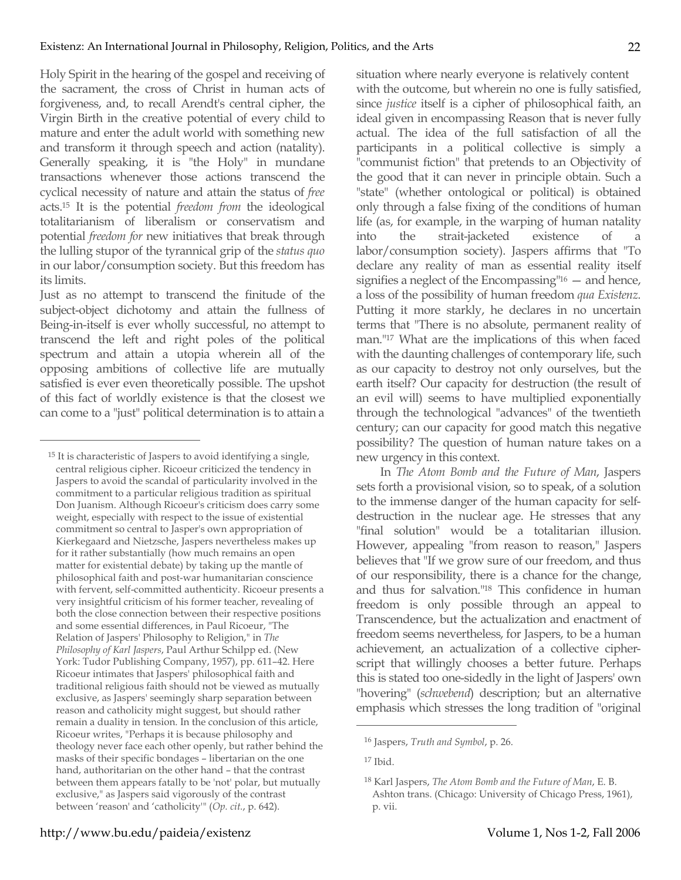Holy Spirit in the hearing of the gospel and receiving of the sacrament, the cross of Christ in human acts of forgiveness, and, to recall Arendt's central cipher, the Virgin Birth in the creative potential of every child to mature and enter the adult world with something new and transform it through speech and action (natality). Generally speaking, it is "the Holy" in mundane transactions whenever those actions transcend the cyclical necessity of nature and attain the status of *free* acts.15 It is the potential *freedom from* the ideological totalitarianism of liberalism or conservatism and potential *freedom for* new initiatives that break through the lulling stupor of the tyrannical grip of the *status quo* in our labor/consumption society. But this freedom has its limits.

Just as no attempt to transcend the finitude of the subject-object dichotomy and attain the fullness of Being-in-itself is ever wholly successful, no attempt to transcend the left and right poles of the political spectrum and attain a utopia wherein all of the opposing ambitions of collective life are mutually satisfied is ever even theoretically possible. The upshot of this fact of worldly existence is that the closest we can come to a "just" political determination is to attain a

 $\overline{a}$ 

situation where nearly everyone is relatively content with the outcome, but wherein no one is fully satisfied, since *justice* itself is a cipher of philosophical faith, an ideal given in encompassing Reason that is never fully actual. The idea of the full satisfaction of all the participants in a political collective is simply a "communist fiction" that pretends to an Objectivity of the good that it can never in principle obtain. Such a "state" (whether ontological or political) is obtained only through a false fixing of the conditions of human life (as, for example, in the warping of human natality into the strait-jacketed existence of a labor/consumption society). Jaspers affirms that "To declare any reality of man as essential reality itself signifies a neglect of the Encompassing<sup>"16</sup> – and hence, a loss of the possibility of human freedom *qua Existenz*. Putting it more starkly, he declares in no uncertain terms that "There is no absolute, permanent reality of man."17 What are the implications of this when faced with the daunting challenges of contemporary life, such as our capacity to destroy not only ourselves, but the earth itself? Our capacity for destruction (the result of an evil will) seems to have multiplied exponentially through the technological "advances" of the twentieth century; can our capacity for good match this negative possibility? The question of human nature takes on a new urgency in this context.

In *The Atom Bomb and the Future of Man*, Jaspers sets forth a provisional vision, so to speak, of a solution to the immense danger of the human capacity for selfdestruction in the nuclear age. He stresses that any "final solution" would be a totalitarian illusion. However, appealing "from reason to reason," Jaspers believes that "If we grow sure of our freedom, and thus of our responsibility, there is a chance for the change, and thus for salvation."18 This confidence in human freedom is only possible through an appeal to Transcendence, but the actualization and enactment of freedom seems nevertheless, for Jaspers, to be a human achievement, an actualization of a collective cipherscript that willingly chooses a better future. Perhaps this is stated too one-sidedly in the light of Jaspers' own "hovering" (*schwebend*) description; but an alternative emphasis which stresses the long tradition of "original

<sup>15</sup> It is characteristic of Jaspers to avoid identifying a single, central religious cipher. Ricoeur criticized the tendency in Jaspers to avoid the scandal of particularity involved in the commitment to a particular religious tradition as spiritual Don Juanism. Although Ricoeur's criticism does carry some weight, especially with respect to the issue of existential commitment so central to Jasper's own appropriation of Kierkegaard and Nietzsche, Jaspers nevertheless makes up for it rather substantially (how much remains an open matter for existential debate) by taking up the mantle of philosophical faith and post-war humanitarian conscience with fervent, self-committed authenticity. Ricoeur presents a very insightful criticism of his former teacher, revealing of both the close connection between their respective positions and some essential differences, in Paul Ricoeur, "The Relation of Jaspers' Philosophy to Religion," in *The Philosophy of Karl Jaspers*, Paul Arthur Schilpp ed. (New York: Tudor Publishing Company, 1957), pp. 611–42. Here Ricoeur intimates that Jaspers' philosophical faith and traditional religious faith should not be viewed as mutually exclusive, as Jaspers' seemingly sharp separation between reason and catholicity might suggest, but should rather remain a duality in tension. In the conclusion of this article, Ricoeur writes, "Perhaps it is because philosophy and theology never face each other openly, but rather behind the masks of their specific bondages – libertarian on the one hand, authoritarian on the other hand – that the contrast between them appears fatally to be 'not' polar, but mutually exclusive," as Jaspers said vigorously of the contrast between 'reason' and 'catholicity'" (*Op. cit.*, p. 642).

<sup>16</sup> Jaspers, *Truth and Symbol*, p. 26.

 $17$  Ibid.

<sup>18</sup> Karl Jaspers, *The Atom Bomb and the Future of Man*, E. B. Ashton trans. (Chicago: University of Chicago Press, 1961), p. vii.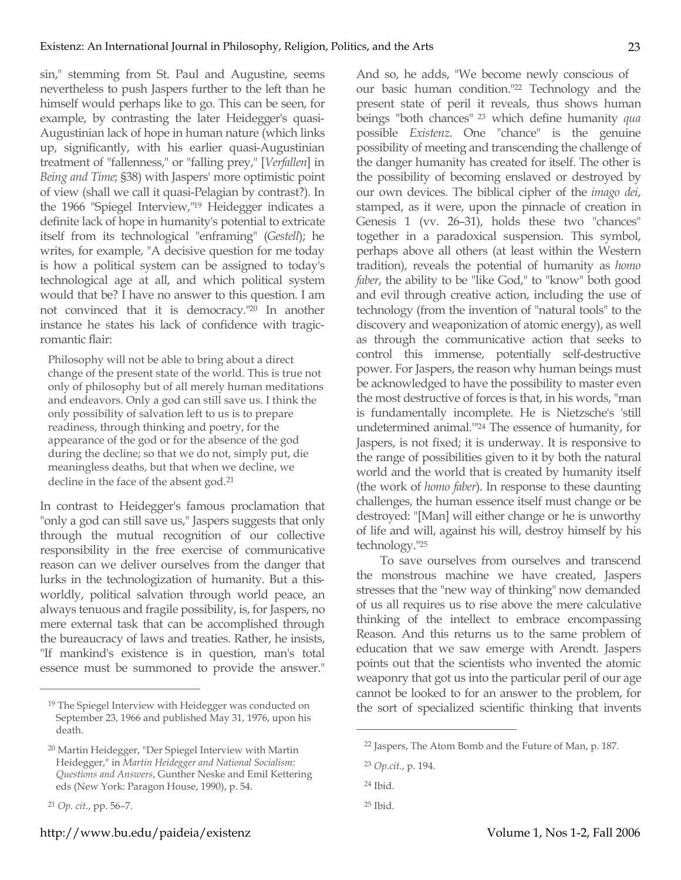sin," stemming from St. Paul and Augustine, seems nevertheless to push Jaspers further to the left than he himself would perhaps like to go. This can be seen, for example, by contrasting the later Heidegger's quasi-Augustinian lack of hope in human nature (which links up, significantly, with his earlier quasi-Augustinian treatment of "fallenness," or "falling prey," [*Verfallen*] in *Being and Time*; §38) with Jaspers' more optimistic point of view (shall we call it quasi-Pelagian by contrast?). In the 1966 "Spiegel Interview,"19 Heidegger indicates a definite lack of hope in humanity's potential to extricate itself from its technological "enframing" (*Gestell*); he writes, for example, "A decisive question for me today is how a political system can be assigned to today's technological age at all, and which political system would that be? I have no answer to this question. I am not convinced that it is democracy."20 In another instance he states his lack of confidence with tragicromantic flair:

Philosophy will not be able to bring about a direct change of the present state of the world. This is true not only of philosophy but of all merely human meditations and endeavors. Only a god can still save us. I think the only possibility of salvation left to us is to prepare readiness, through thinking and poetry, for the appearance of the god or for the absence of the god during the decline; so that we do not, simply put, die meaningless deaths, but that when we decline, we decline in the face of the absent god.21

In contrast to Heidegger's famous proclamation that "only a god can still save us," Jaspers suggests that only through the mutual recognition of our collective responsibility in the free exercise of communicative reason can we deliver ourselves from the danger that lurks in the technologization of humanity. But a thisworldly, political salvation through world peace, an always tenuous and fragile possibility, is, for Jaspers, no mere external task that can be accomplished through the bureaucracy of laws and treaties. Rather, he insists, "If mankind's existence is in question, man's total essence must be summoned to provide the answer."

 $\overline{a}$ 

And so, he adds, "We become newly conscious of our basic human condition."22 Technology and the present state of peril it reveals, thus shows human beings "both chances" 23 which define humanity *qua* possible *Existenz*. One "chance" is the genuine possibility of meeting and transcending the challenge of the danger humanity has created for itself. The other is the possibility of becoming enslaved or destroyed by our own devices. The biblical cipher of the *imago dei*, stamped, as it were, upon the pinnacle of creation in Genesis 1 (vv. 26–31), holds these two "chances" together in a paradoxical suspension. This symbol, perhaps above all others (at least within the Western tradition), reveals the potential of humanity as *homo faber*, the ability to be "like God," to "know" both good and evil through creative action, including the use of technology (from the invention of "natural tools" to the discovery and weaponization of atomic energy), as well as through the communicative action that seeks to control this immense, potentially self-destructive power. For Jaspers, the reason why human beings must be acknowledged to have the possibility to master even the most destructive of forces is that, in his words, "man is fundamentally incomplete. He is Nietzsche's 'still undetermined animal.'"24 The essence of humanity, for Jaspers, is not fixed; it is underway. It is responsive to the range of possibilities given to it by both the natural world and the world that is created by humanity itself (the work of *homo faber*). In response to these daunting challenges, the human essence itself must change or be destroyed: "[Man] will either change or he is unworthy of life and will, against his will, destroy himself by his technology."25

To save ourselves from ourselves and transcend the monstrous machine we have created, Jaspers stresses that the "new way of thinking" now demanded of us all requires us to rise above the mere calculative thinking of the intellect to embrace encompassing Reason. And this returns us to the same problem of education that we saw emerge with Arendt. Jaspers points out that the scientists who invented the atomic weaponry that got us into the particular peril of our age cannot be looked to for an answer to the problem, for the sort of specialized scientific thinking that invents

<sup>&</sup>lt;sup>19</sup> The Spiegel Interview with Heidegger was conducted on September 23, 1966 and published May 31, 1976, upon his death.

<sup>20</sup> Martin Heidegger, "Der Spiegel Interview with Martin Heidegger," in *Martin Heidegger and National Socialism: Questions and Answers*, Gunther Neske and Emil Kettering eds (New York: Paragon House, 1990), p. 54.

<sup>21</sup> *Op. cit.*, pp. 56–7.

<sup>22</sup> Jaspers, The Atom Bomb and the Future of Man, p. 187.

<sup>23</sup> *Op.cit.*, p. 194.

<sup>24</sup> Ibid.

<sup>25</sup> Ibid.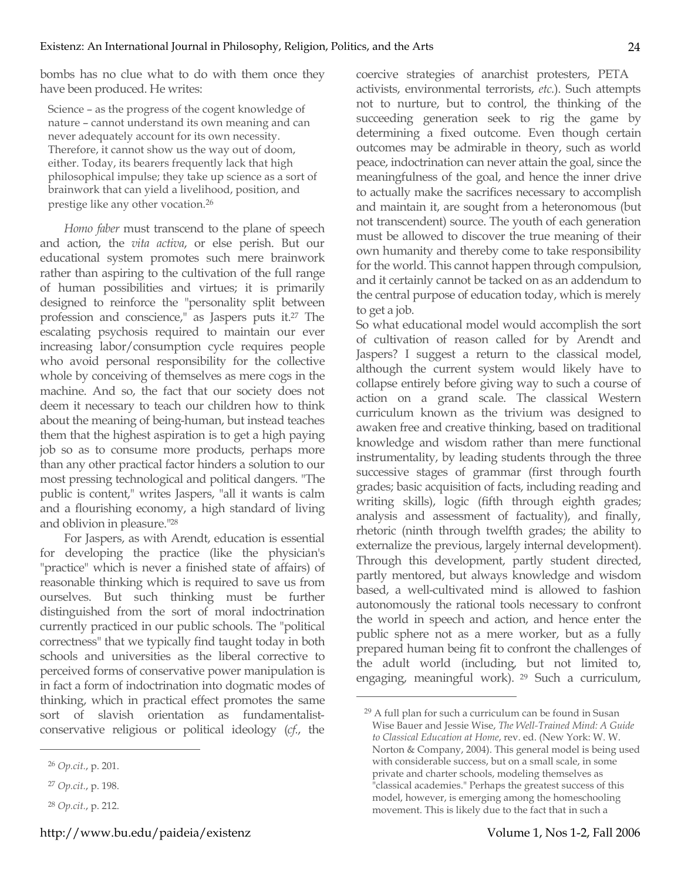bombs has no clue what to do with them once they have been produced. He writes:

Science – as the progress of the cogent knowledge of nature – cannot understand its own meaning and can never adequately account for its own necessity. Therefore, it cannot show us the way out of doom, either. Today, its bearers frequently lack that high philosophical impulse; they take up science as a sort of brainwork that can yield a livelihood, position, and prestige like any other vocation.26

*Homo faber* must transcend to the plane of speech and action, the *vita activa*, or else perish. But our educational system promotes such mere brainwork rather than aspiring to the cultivation of the full range of human possibilities and virtues; it is primarily designed to reinforce the "personality split between profession and conscience," as Jaspers puts it.27 The escalating psychosis required to maintain our ever increasing labor/consumption cycle requires people who avoid personal responsibility for the collective whole by conceiving of themselves as mere cogs in the machine. And so, the fact that our society does not deem it necessary to teach our children how to think about the meaning of being-human, but instead teaches them that the highest aspiration is to get a high paying job so as to consume more products, perhaps more than any other practical factor hinders a solution to our most pressing technological and political dangers. "The public is content," writes Jaspers, "all it wants is calm and a flourishing economy, a high standard of living and oblivion in pleasure."28

For Jaspers, as with Arendt, education is essential for developing the practice (like the physician's "practice" which is never a finished state of affairs) of reasonable thinking which is required to save us from ourselves. But such thinking must be further distinguished from the sort of moral indoctrination currently practiced in our public schools. The "political correctness" that we typically find taught today in both schools and universities as the liberal corrective to perceived forms of conservative power manipulation is in fact a form of indoctrination into dogmatic modes of thinking, which in practical effect promotes the same sort of slavish orientation as fundamentalistconservative religious or political ideology (*cf.*, the

 $\overline{a}$ 

coercive strategies of anarchist protesters, PETA activists, environmental terrorists, *etc.*). Such attempts not to nurture, but to control, the thinking of the succeeding generation seek to rig the game by determining a fixed outcome. Even though certain outcomes may be admirable in theory, such as world peace, indoctrination can never attain the goal, since the meaningfulness of the goal, and hence the inner drive to actually make the sacrifices necessary to accomplish and maintain it, are sought from a heteronomous (but not transcendent) source. The youth of each generation must be allowed to discover the true meaning of their own humanity and thereby come to take responsibility for the world. This cannot happen through compulsion, and it certainly cannot be tacked on as an addendum to the central purpose of education today, which is merely to get a job.

So what educational model would accomplish the sort of cultivation of reason called for by Arendt and Jaspers? I suggest a return to the classical model, although the current system would likely have to collapse entirely before giving way to such a course of action on a grand scale. The classical Western curriculum known as the trivium was designed to awaken free and creative thinking, based on traditional knowledge and wisdom rather than mere functional instrumentality, by leading students through the three successive stages of grammar (first through fourth grades; basic acquisition of facts, including reading and writing skills), logic (fifth through eighth grades; analysis and assessment of factuality), and finally, rhetoric (ninth through twelfth grades; the ability to externalize the previous, largely internal development). Through this development, partly student directed, partly mentored, but always knowledge and wisdom based, a well-cultivated mind is allowed to fashion autonomously the rational tools necessary to confront the world in speech and action, and hence enter the public sphere not as a mere worker, but as a fully prepared human being fit to confront the challenges of the adult world (including, but not limited to, engaging, meaningful work). 29 Such a curriculum,

<sup>26</sup> *Op.cit.*, p. 201.

<sup>27</sup> *Op.cit.*, p. 198.

<sup>28</sup> *Op.cit.*, p. 212.

<sup>29</sup> A full plan for such a curriculum can be found in Susan Wise Bauer and Jessie Wise, *The Well-Trained Mind: A Guide to Classical Education at Home*, rev. ed. (New York: W. W. Norton & Company, 2004). This general model is being used with considerable success, but on a small scale, in some private and charter schools, modeling themselves as "classical academies." Perhaps the greatest success of this model, however, is emerging among the homeschooling movement. This is likely due to the fact that in such a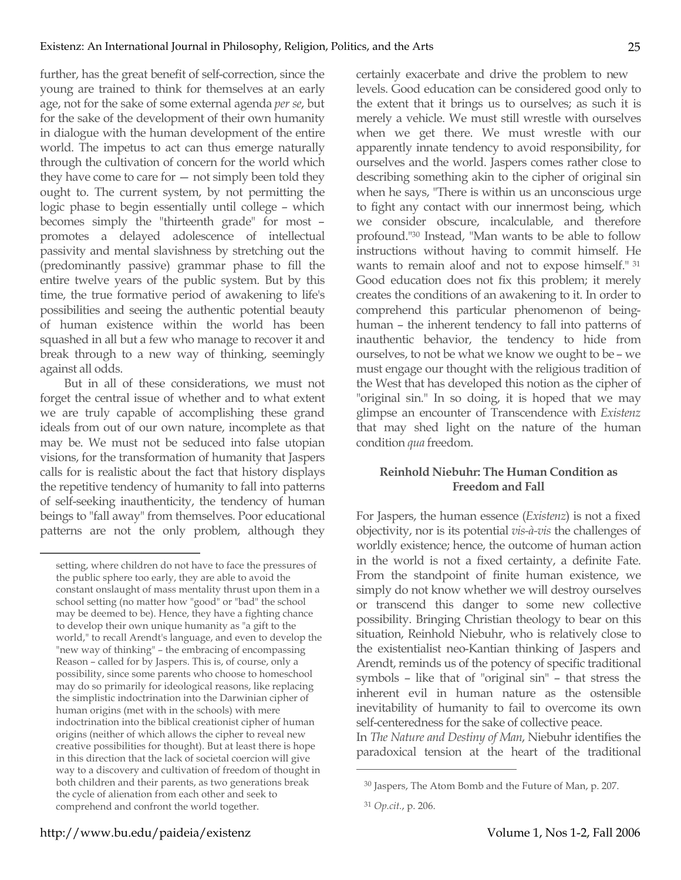further, has the great benefit of self-correction, since the young are trained to think for themselves at an early age, not for the sake of some external agenda *per se*, but for the sake of the development of their own humanity in dialogue with the human development of the entire world. The impetus to act can thus emerge naturally through the cultivation of concern for the world which they have come to care for  $-$  not simply been told they ought to. The current system, by not permitting the logic phase to begin essentially until college – which becomes simply the "thirteenth grade" for most – promotes a delayed adolescence of intellectual passivity and mental slavishness by stretching out the (predominantly passive) grammar phase to fill the entire twelve years of the public system. But by this time, the true formative period of awakening to life's possibilities and seeing the authentic potential beauty of human existence within the world has been squashed in all but a few who manage to recover it and break through to a new way of thinking, seemingly against all odds.

But in all of these considerations, we must not forget the central issue of whether and to what extent we are truly capable of accomplishing these grand ideals from out of our own nature, incomplete as that may be. We must not be seduced into false utopian visions, for the transformation of humanity that Jaspers calls for is realistic about the fact that history displays the repetitive tendency of humanity to fall into patterns of self-seeking inauthenticity, the tendency of human beings to "fall away" from themselves. Poor educational patterns are not the only problem, although they certainly exacerbate and drive the problem to new levels. Good education can be considered good only to the extent that it brings us to ourselves; as such it is merely a vehicle. We must still wrestle with ourselves when we get there. We must wrestle with our apparently innate tendency to avoid responsibility, for ourselves and the world. Jaspers comes rather close to describing something akin to the cipher of original sin when he says, "There is within us an unconscious urge to fight any contact with our innermost being, which we consider obscure, incalculable, and therefore profound."30 Instead, "Man wants to be able to follow instructions without having to commit himself. He wants to remain aloof and not to expose himself." <sup>31</sup> Good education does not fix this problem; it merely creates the conditions of an awakening to it. In order to comprehend this particular phenomenon of beinghuman – the inherent tendency to fall into patterns of inauthentic behavior, the tendency to hide from ourselves, to not be what we know we ought to be – we must engage our thought with the religious tradition of the West that has developed this notion as the cipher of "original sin." In so doing, it is hoped that we may glimpse an encounter of Transcendence with *Existenz* that may shed light on the nature of the human condition *qua* freedom.

### **Reinhold Niebuhr: The Human Condition as Freedom and Fall**

For Jaspers, the human essence (*Existenz*) is not a fixed objectivity, nor is its potential *vis-à-vis* the challenges of worldly existence; hence, the outcome of human action in the world is not a fixed certainty, a definite Fate. From the standpoint of finite human existence, we simply do not know whether we will destroy ourselves or transcend this danger to some new collective possibility. Bringing Christian theology to bear on this situation, Reinhold Niebuhr, who is relatively close to the existentialist neo-Kantian thinking of Jaspers and Arendt, reminds us of the potency of specific traditional symbols – like that of "original sin" – that stress the inherent evil in human nature as the ostensible inevitability of humanity to fail to overcome its own self-centeredness for the sake of collective peace.

In *The Nature and Destiny of Man*, Niebuhr identifies the paradoxical tension at the heart of the traditional

 $\overline{a}$ 

setting, where children do not have to face the pressures of the public sphere too early, they are able to avoid the constant onslaught of mass mentality thrust upon them in a school setting (no matter how "good" or "bad" the school may be deemed to be). Hence, they have a fighting chance to develop their own unique humanity as "a gift to the world," to recall Arendt's language, and even to develop the "new way of thinking" – the embracing of encompassing Reason – called for by Jaspers. This is, of course, only a possibility, since some parents who choose to homeschool may do so primarily for ideological reasons, like replacing the simplistic indoctrination into the Darwinian cipher of human origins (met with in the schools) with mere indoctrination into the biblical creationist cipher of human origins (neither of which allows the cipher to reveal new creative possibilities for thought). But at least there is hope in this direction that the lack of societal coercion will give way to a discovery and cultivation of freedom of thought in both children and their parents, as two generations break the cycle of alienation from each other and seek to comprehend and confront the world together.

<sup>30</sup> Jaspers, The Atom Bomb and the Future of Man, p. 207.

<sup>31</sup> *Op.cit.*, p. 206.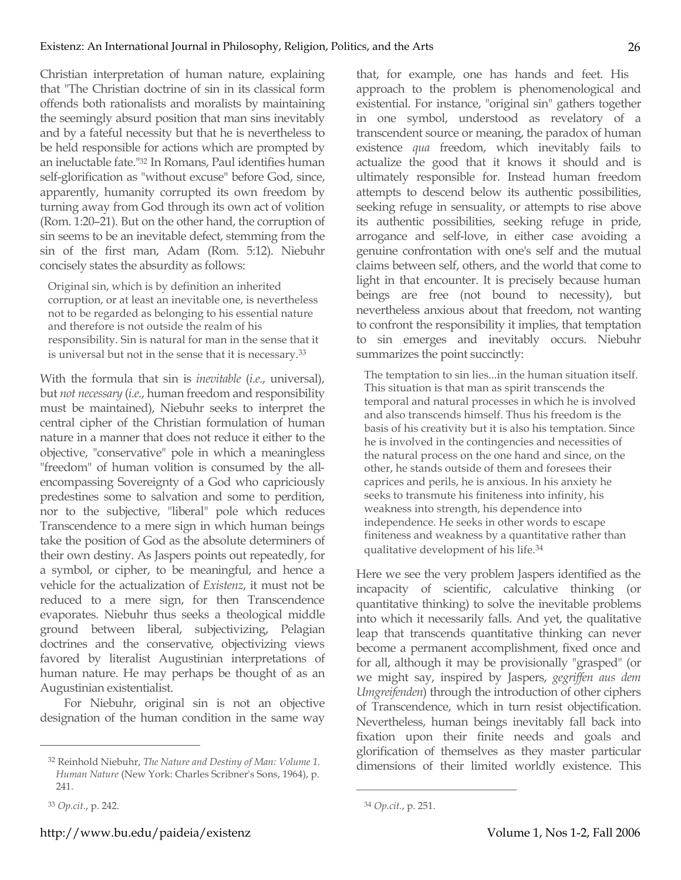Christian interpretation of human nature, explaining that "The Christian doctrine of sin in its classical form offends both rationalists and moralists by maintaining the seemingly absurd position that man sins inevitably and by a fateful necessity but that he is nevertheless to be held responsible for actions which are prompted by an ineluctable fate."32 In Romans, Paul identifies human self-glorification as "without excuse" before God, since, apparently, humanity corrupted its own freedom by turning away from God through its own act of volition (Rom. 1:20–21). But on the other hand, the corruption of sin seems to be an inevitable defect, stemming from the sin of the first man, Adam (Rom. 5:12). Niebuhr concisely states the absurdity as follows:

Original sin, which is by definition an inherited corruption, or at least an inevitable one, is nevertheless not to be regarded as belonging to his essential nature and therefore is not outside the realm of his responsibility. Sin is natural for man in the sense that it is universal but not in the sense that it is necessary.33

With the formula that sin is *inevitable* (*i.e.*, universal), but *not necessary* (*i.e.*, human freedom and responsibility must be maintained), Niebuhr seeks to interpret the central cipher of the Christian formulation of human nature in a manner that does not reduce it either to the objective, "conservative" pole in which a meaningless "freedom" of human volition is consumed by the allencompassing Sovereignty of a God who capriciously predestines some to salvation and some to perdition, nor to the subjective, "liberal" pole which reduces Transcendence to a mere sign in which human beings take the position of God as the absolute determiners of their own destiny. As Jaspers points out repeatedly, for a symbol, or cipher, to be meaningful, and hence a vehicle for the actualization of *Existenz*, it must not be reduced to a mere sign, for then Transcendence evaporates. Niebuhr thus seeks a theological middle ground between liberal, subjectivizing, Pelagian doctrines and the conservative, objectivizing views favored by literalist Augustinian interpretations of human nature. He may perhaps be thought of as an Augustinian existentialist.

For Niebuhr, original sin is not an objective designation of the human condition in the same way

 $\overline{a}$ 

that, for example, one has hands and feet. His approach to the problem is phenomenological and existential. For instance, "original sin" gathers together in one symbol, understood as revelatory of a transcendent source or meaning, the paradox of human existence *qua* freedom, which inevitably fails to actualize the good that it knows it should and is ultimately responsible for. Instead human freedom attempts to descend below its authentic possibilities, seeking refuge in sensuality, or attempts to rise above its authentic possibilities, seeking refuge in pride, arrogance and self-love, in either case avoiding a genuine confrontation with one's self and the mutual claims between self, others, and the world that come to light in that encounter. It is precisely because human beings are free (not bound to necessity), but nevertheless anxious about that freedom, not wanting to confront the responsibility it implies, that temptation to sin emerges and inevitably occurs. Niebuhr summarizes the point succinctly:

The temptation to sin lies...in the human situation itself. This situation is that man as spirit transcends the temporal and natural processes in which he is involved and also transcends himself. Thus his freedom is the basis of his creativity but it is also his temptation. Since he is involved in the contingencies and necessities of the natural process on the one hand and since, on the other, he stands outside of them and foresees their caprices and perils, he is anxious. In his anxiety he seeks to transmute his finiteness into infinity, his weakness into strength, his dependence into independence. He seeks in other words to escape finiteness and weakness by a quantitative rather than qualitative development of his life.34

Here we see the very problem Jaspers identified as the incapacity of scientific, calculative thinking (or quantitative thinking) to solve the inevitable problems into which it necessarily falls. And yet, the qualitative leap that transcends quantitative thinking can never become a permanent accomplishment, fixed once and for all, although it may be provisionally "grasped" (or we might say, inspired by Jaspers, *gegriffen aus dem Umgreifenden*) through the introduction of other ciphers of Transcendence, which in turn resist objectification. Nevertheless, human beings inevitably fall back into fixation upon their finite needs and goals and glorification of themselves as they master particular dimensions of their limited worldly existence. This

<sup>32</sup> Reinhold Niebuhr, *The Nature and Destiny of Man: Volume 1. Human Nature* (New York: Charles Scribner's Sons, 1964), p. 241.

<sup>33</sup> *Op.cit.*, p. 242.

<sup>34</sup> *Op.cit.*, p. 251.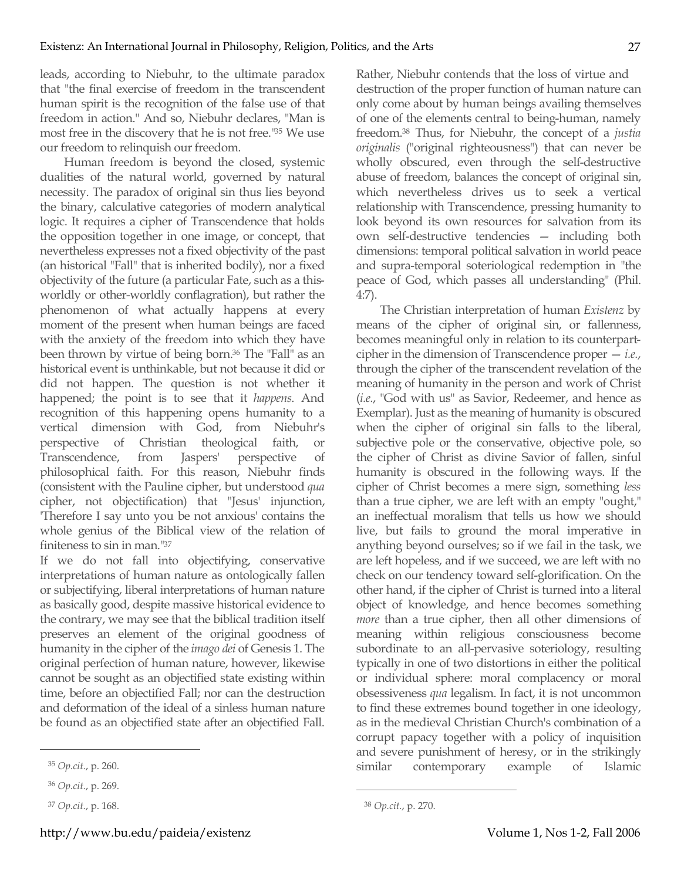leads, according to Niebuhr, to the ultimate paradox that "the final exercise of freedom in the transcendent human spirit is the recognition of the false use of that freedom in action." And so, Niebuhr declares, "Man is most free in the discovery that he is not free."35 We use our freedom to relinquish our freedom.

Human freedom is beyond the closed, systemic dualities of the natural world, governed by natural necessity. The paradox of original sin thus lies beyond the binary, calculative categories of modern analytical logic. It requires a cipher of Transcendence that holds the opposition together in one image, or concept, that nevertheless expresses not a fixed objectivity of the past (an historical "Fall" that is inherited bodily), nor a fixed objectivity of the future (a particular Fate, such as a thisworldly or other-worldly conflagration), but rather the phenomenon of what actually happens at every moment of the present when human beings are faced with the anxiety of the freedom into which they have been thrown by virtue of being born.36 The "Fall" as an historical event is unthinkable, but not because it did or did not happen. The question is not whether it happened; the point is to see that it *happens*. And recognition of this happening opens humanity to a vertical dimension with God, from Niebuhr's perspective of Christian theological faith, or Transcendence, from Jaspers' perspective of philosophical faith. For this reason, Niebuhr finds (consistent with the Pauline cipher, but understood *qua* cipher, not objectification) that "Jesus' injunction, 'Therefore I say unto you be not anxious' contains the whole genius of the Biblical view of the relation of finiteness to sin in man."37

If we do not fall into objectifying, conservative interpretations of human nature as ontologically fallen or subjectifying, liberal interpretations of human nature as basically good, despite massive historical evidence to the contrary, we may see that the biblical tradition itself preserves an element of the original goodness of humanity in the cipher of the *imago dei* of Genesis 1. The original perfection of human nature, however, likewise cannot be sought as an objectified state existing within time, before an objectified Fall; nor can the destruction and deformation of the ideal of a sinless human nature be found as an objectified state after an objectified Fall.

 $\overline{a}$ 

Rather, Niebuhr contends that the loss of virtue and destruction of the proper function of human nature can only come about by human beings availing themselves of one of the elements central to being-human, namely freedom.38 Thus, for Niebuhr, the concept of a *justia originalis* ("original righteousness") that can never be wholly obscured, even through the self-destructive abuse of freedom, balances the concept of original sin, which nevertheless drives us to seek a vertical relationship with Transcendence, pressing humanity to look beyond its own resources for salvation from its own self-destructive tendencies — including both dimensions: temporal political salvation in world peace and supra-temporal soteriological redemption in "the peace of God, which passes all understanding" (Phil. 4:7).

The Christian interpretation of human *Existenz* by means of the cipher of original sin, or fallenness, becomes meaningful only in relation to its counterpartcipher in the dimension of Transcendence proper — *i.e.*, through the cipher of the transcendent revelation of the meaning of humanity in the person and work of Christ (*i.e.*, "God with us" as Savior, Redeemer, and hence as Exemplar). Just as the meaning of humanity is obscured when the cipher of original sin falls to the liberal, subjective pole or the conservative, objective pole, so the cipher of Christ as divine Savior of fallen, sinful humanity is obscured in the following ways. If the cipher of Christ becomes a mere sign, something *less* than a true cipher, we are left with an empty "ought," an ineffectual moralism that tells us how we should live, but fails to ground the moral imperative in anything beyond ourselves; so if we fail in the task, we are left hopeless, and if we succeed, we are left with no check on our tendency toward self-glorification. On the other hand, if the cipher of Christ is turned into a literal object of knowledge, and hence becomes something *more* than a true cipher, then all other dimensions of meaning within religious consciousness become subordinate to an all-pervasive soteriology, resulting typically in one of two distortions in either the political or individual sphere: moral complacency or moral obsessiveness *qua* legalism. In fact, it is not uncommon to find these extremes bound together in one ideology, as in the medieval Christian Church's combination of a corrupt papacy together with a policy of inquisition and severe punishment of heresy, or in the strikingly similar contemporary example of Islamic

<sup>35</sup> *Op.cit.*, p. 260.

<sup>36</sup> *Op.cit.*, p. 269.

<sup>37</sup> *Op.cit.*, p. 168.

<sup>38</sup> *Op.cit.*, p. 270.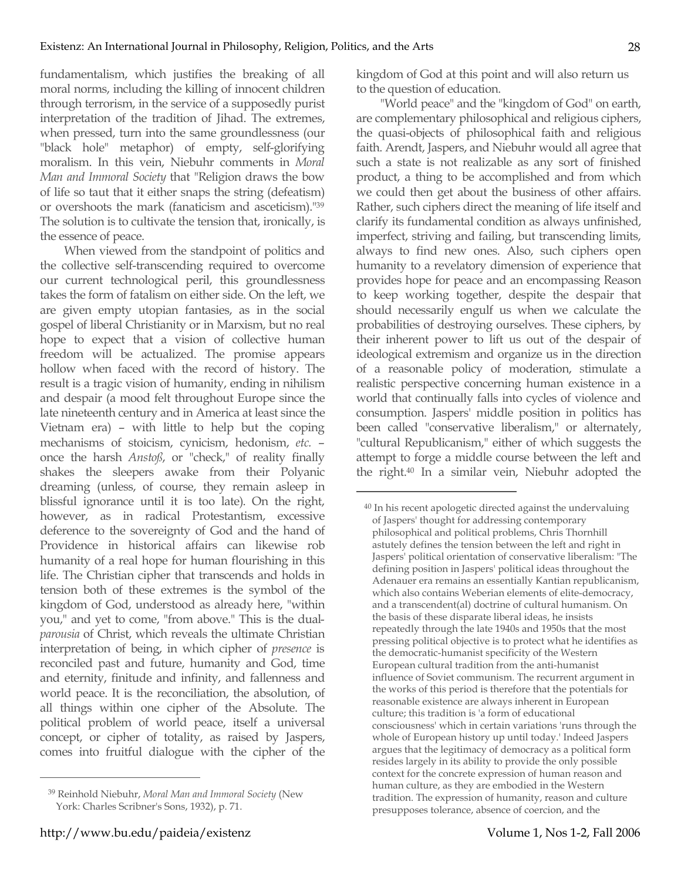fundamentalism, which justifies the breaking of all moral norms, including the killing of innocent children through terrorism, in the service of a supposedly purist interpretation of the tradition of Jihad. The extremes, when pressed, turn into the same groundlessness (our "black hole" metaphor) of empty, self-glorifying moralism. In this vein, Niebuhr comments in *Moral Man and Immoral Society* that "Religion draws the bow of life so taut that it either snaps the string (defeatism) or overshoots the mark (fanaticism and asceticism)."39 The solution is to cultivate the tension that, ironically, is the essence of peace.

When viewed from the standpoint of politics and the collective self-transcending required to overcome our current technological peril, this groundlessness takes the form of fatalism on either side. On the left, we are given empty utopian fantasies, as in the social gospel of liberal Christianity or in Marxism, but no real hope to expect that a vision of collective human freedom will be actualized. The promise appears hollow when faced with the record of history. The result is a tragic vision of humanity, ending in nihilism and despair (a mood felt throughout Europe since the late nineteenth century and in America at least since the Vietnam era) – with little to help but the coping mechanisms of stoicism, cynicism, hedonism, *etc.* – once the harsh *Anstoß*, or "check," of reality finally shakes the sleepers awake from their Polyanic dreaming (unless, of course, they remain asleep in blissful ignorance until it is too late). On the right, however, as in radical Protestantism, excessive deference to the sovereignty of God and the hand of Providence in historical affairs can likewise rob humanity of a real hope for human flourishing in this life. The Christian cipher that transcends and holds in tension both of these extremes is the symbol of the kingdom of God, understood as already here, "within you," and yet to come, "from above." This is the dual*parousia* of Christ, which reveals the ultimate Christian interpretation of being, in which cipher of *presence* is reconciled past and future, humanity and God, time and eternity, finitude and infinity, and fallenness and world peace. It is the reconciliation, the absolution, of all things within one cipher of the Absolute. The political problem of world peace, itself a universal concept, or cipher of totality, as raised by Jaspers, comes into fruitful dialogue with the cipher of the

 $\overline{a}$ 

kingdom of God at this point and will also return us to the question of education.

"World peace" and the "kingdom of God" on earth, are complementary philosophical and religious ciphers, the quasi-objects of philosophical faith and religious faith. Arendt, Jaspers, and Niebuhr would all agree that such a state is not realizable as any sort of finished product, a thing to be accomplished and from which we could then get about the business of other affairs. Rather, such ciphers direct the meaning of life itself and clarify its fundamental condition as always unfinished, imperfect, striving and failing, but transcending limits, always to find new ones. Also, such ciphers open humanity to a revelatory dimension of experience that provides hope for peace and an encompassing Reason to keep working together, despite the despair that should necessarily engulf us when we calculate the probabilities of destroying ourselves. These ciphers, by their inherent power to lift us out of the despair of ideological extremism and organize us in the direction of a reasonable policy of moderation, stimulate a realistic perspective concerning human existence in a world that continually falls into cycles of violence and consumption. Jaspers' middle position in politics has been called "conservative liberalism," or alternately, "cultural Republicanism," either of which suggests the attempt to forge a middle course between the left and the right.40 In a similar vein, Niebuhr adopted the

<sup>39</sup> Reinhold Niebuhr, *Moral Man and Immoral Society* (New York: Charles Scribner's Sons, 1932), p. 71.

<sup>40</sup> In his recent apologetic directed against the undervaluing of Jaspers' thought for addressing contemporary philosophical and political problems, Chris Thornhill astutely defines the tension between the left and right in Jaspers' political orientation of conservative liberalism: "The defining position in Jaspers' political ideas throughout the Adenauer era remains an essentially Kantian republicanism, which also contains Weberian elements of elite-democracy, and a transcendent(al) doctrine of cultural humanism. On the basis of these disparate liberal ideas, he insists repeatedly through the late 1940s and 1950s that the most pressing political objective is to protect what he identifies as the democratic-humanist specificity of the Western European cultural tradition from the anti-humanist influence of Soviet communism. The recurrent argument in the works of this period is therefore that the potentials for reasonable existence are always inherent in European culture; this tradition is 'a form of educational consciousness' which in certain variations 'runs through the whole of European history up until today.' Indeed Jaspers argues that the legitimacy of democracy as a political form resides largely in its ability to provide the only possible context for the concrete expression of human reason and human culture, as they are embodied in the Western tradition. The expression of humanity, reason and culture presupposes tolerance, absence of coercion, and the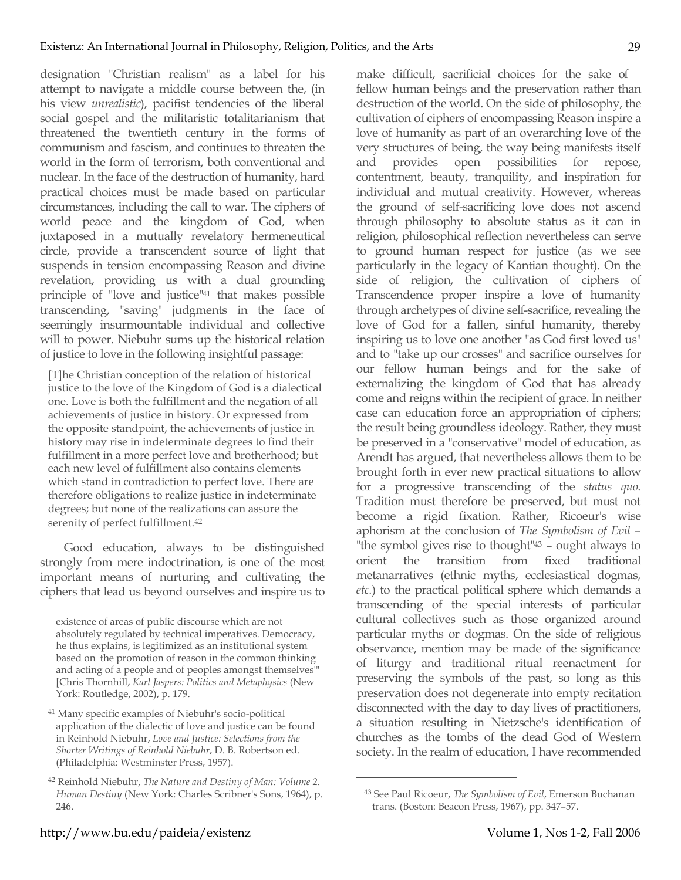designation "Christian realism" as a label for his attempt to navigate a middle course between the, (in his view *unrealistic*), pacifist tendencies of the liberal social gospel and the militaristic totalitarianism that threatened the twentieth century in the forms of communism and fascism, and continues to threaten the world in the form of terrorism, both conventional and nuclear. In the face of the destruction of humanity, hard practical choices must be made based on particular circumstances, including the call to war. The ciphers of world peace and the kingdom of God, when juxtaposed in a mutually revelatory hermeneutical circle, provide a transcendent source of light that suspends in tension encompassing Reason and divine revelation, providing us with a dual grounding principle of "love and justice"41 that makes possible transcending, "saving" judgments in the face of seemingly insurmountable individual and collective will to power. Niebuhr sums up the historical relation of justice to love in the following insightful passage:

[T]he Christian conception of the relation of historical justice to the love of the Kingdom of God is a dialectical one. Love is both the fulfillment and the negation of all achievements of justice in history. Or expressed from the opposite standpoint, the achievements of justice in history may rise in indeterminate degrees to find their fulfillment in a more perfect love and brotherhood; but each new level of fulfillment also contains elements which stand in contradiction to perfect love. There are therefore obligations to realize justice in indeterminate degrees; but none of the realizations can assure the serenity of perfect fulfillment.42

Good education, always to be distinguished strongly from mere indoctrination, is one of the most important means of nurturing and cultivating the ciphers that lead us beyond ourselves and inspire us to

make difficult, sacrificial choices for the sake of fellow human beings and the preservation rather than destruction of the world. On the side of philosophy, the cultivation of ciphers of encompassing Reason inspire a love of humanity as part of an overarching love of the very structures of being, the way being manifests itself and provides open possibilities for repose, contentment, beauty, tranquility, and inspiration for individual and mutual creativity. However, whereas the ground of self-sacrificing love does not ascend through philosophy to absolute status as it can in religion, philosophical reflection nevertheless can serve to ground human respect for justice (as we see particularly in the legacy of Kantian thought). On the side of religion, the cultivation of ciphers of Transcendence proper inspire a love of humanity through archetypes of divine self-sacrifice, revealing the love of God for a fallen, sinful humanity, thereby inspiring us to love one another "as God first loved us" and to "take up our crosses" and sacrifice ourselves for our fellow human beings and for the sake of externalizing the kingdom of God that has already come and reigns within the recipient of grace. In neither case can education force an appropriation of ciphers; the result being groundless ideology. Rather, they must be preserved in a "conservative" model of education, as Arendt has argued, that nevertheless allows them to be brought forth in ever new practical situations to allow for a progressive transcending of the *status quo*. Tradition must therefore be preserved, but must not become a rigid fixation. Rather, Ricoeur's wise aphorism at the conclusion of *The Symbolism of Evil* – "the symbol gives rise to thought"43 – ought always to orient the transition from fixed traditional metanarratives (ethnic myths, ecclesiastical dogmas, *etc.*) to the practical political sphere which demands a transcending of the special interests of particular cultural collectives such as those organized around particular myths or dogmas. On the side of religious observance, mention may be made of the significance of liturgy and traditional ritual reenactment for preserving the symbols of the past, so long as this preservation does not degenerate into empty recitation disconnected with the day to day lives of practitioners, a situation resulting in Nietzsche's identification of churches as the tombs of the dead God of Western society. In the realm of education, I have recommended

 $\overline{a}$ 

existence of areas of public discourse which are not absolutely regulated by technical imperatives. Democracy, he thus explains, is legitimized as an institutional system based on 'the promotion of reason in the common thinking and acting of a people and of peoples amongst themselves'" [Chris Thornhill, *Karl Jaspers: Politics and Metaphysics* (New York: Routledge, 2002), p. 179.

<sup>41</sup> Many specific examples of Niebuhr's socio-political application of the dialectic of love and justice can be found in Reinhold Niebuhr, *Love and Justice: Selections from the Shorter Writings of Reinhold Niebuhr*, D. B. Robertson ed. (Philadelphia: Westminster Press, 1957).

<sup>42</sup> Reinhold Niebuhr, *The Nature and Destiny of Man: Volume 2. Human Destiny* (New York: Charles Scribner's Sons, 1964), p. 246.

<sup>43</sup> See Paul Ricoeur, *The Symbolism of Evil*, Emerson Buchanan trans. (Boston: Beacon Press, 1967), pp. 347–57.